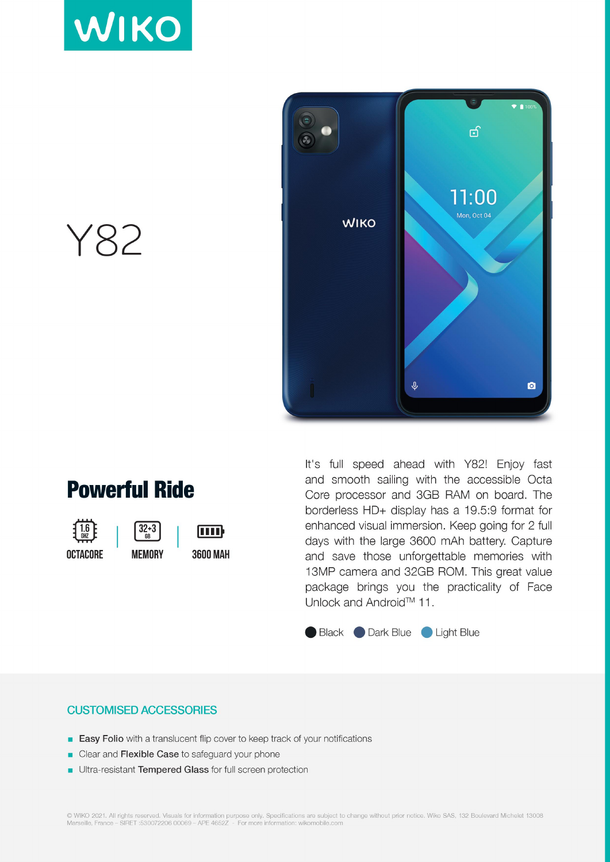



Y82

### **Powerful Ride**

 $32 + 3$ 

 $\overline{R}R$ 

**OCTACORE** 



[IIII] **3600 MAH** 

It's full speed ahead with Y82! Enjoy fast and smooth sailing with the accessible Octa Core processor and 3GB RAM on board. The borderless HD+ display has a 19.5:9 format for enhanced visual immersion. Keep going for 2 full days with the large 3600 mAh battery. Capture and save those unforgettable memories with 13MP camera and 32GB ROM. This great value package brings you the practicality of Face Unlock and Android™ 11.

#### Black Dark Blue Light Blue

#### **CUSTOMISED ACCESSORIES**

- **Easy Folio** with a translucent flip cover to keep track of your notifications
- Clear and Flexible Case to safeguard your phone
- Ultra-resistant Tempered Glass for full screen protection

© WIKO 2021. All rights reserved. Visuals for information purpose only. Specifications are subject to change without prior notice. Wiko SAS, 132 Boulevard Michelet 13008<br>Marseille, France – SIRET:530072206 00069 – APE 4652